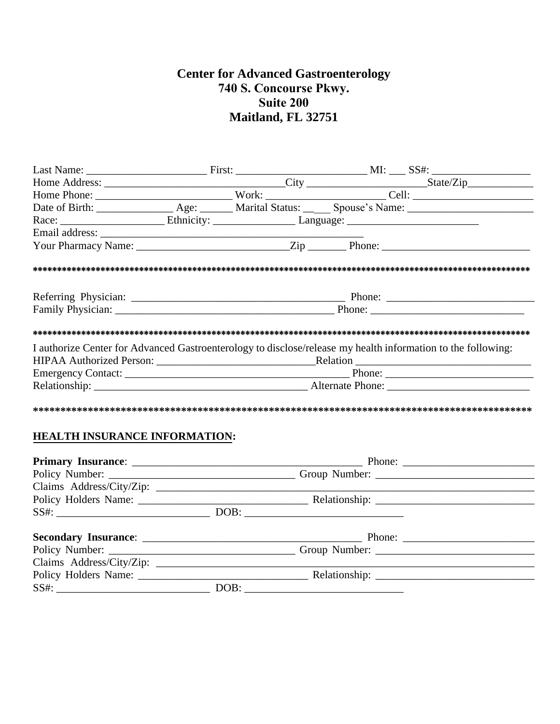# **Center for Advanced Gastroenterology** 740 S. Concourse Pkwy. Suite 200 Maitland, FL 32751

| Home Phone: Work: Cell: Cell: Cell: Cell: Cell: Cell: Cell: Cell: Cell: Cell: Cell: Cell: Cell: Cell: Cell: Cell: Cell: Cell: Cell: Cell: Cell: Cell: Cell: Cell: Cell: Cell: Cell: Cell: Cell: Cell: Cell: Cell: Cell: Cell: |  |  |  |  |  |  |  |
|-------------------------------------------------------------------------------------------------------------------------------------------------------------------------------------------------------------------------------|--|--|--|--|--|--|--|
|                                                                                                                                                                                                                               |  |  |  |  |  |  |  |
|                                                                                                                                                                                                                               |  |  |  |  |  |  |  |
|                                                                                                                                                                                                                               |  |  |  |  |  |  |  |
|                                                                                                                                                                                                                               |  |  |  |  |  |  |  |
|                                                                                                                                                                                                                               |  |  |  |  |  |  |  |
|                                                                                                                                                                                                                               |  |  |  |  |  |  |  |
|                                                                                                                                                                                                                               |  |  |  |  |  |  |  |
|                                                                                                                                                                                                                               |  |  |  |  |  |  |  |
| I authorize Center for Advanced Gastroenterology to disclose/release my health information to the following:                                                                                                                  |  |  |  |  |  |  |  |
|                                                                                                                                                                                                                               |  |  |  |  |  |  |  |
|                                                                                                                                                                                                                               |  |  |  |  |  |  |  |
|                                                                                                                                                                                                                               |  |  |  |  |  |  |  |
|                                                                                                                                                                                                                               |  |  |  |  |  |  |  |
| <b>HEALTH INSURANCE INFORMATION:</b>                                                                                                                                                                                          |  |  |  |  |  |  |  |